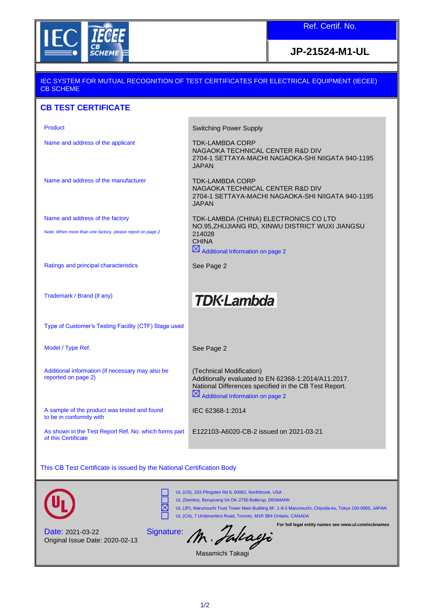

Ref. Certif. No.

## **JP-21524-M1-UL**

#### IEC SYSTEM FOR MUTUAL RECOGNITION OF TEST CERTIFICATES FOR ELECTRICAL EQUIPMENT (IECEE) CB SCHEME

#### **CB TEST CERTIFICATE**

Name and address of the applicant TDK-LAMBDA CORP

Product **Switching Power Supply** 

NAGAOKA TECHNICAL CENTER R&D DIV 2704-1 SETTAYA-MACHI NAGAOKA-SHI NIIGATA 940-1195 JAPAN

Name and address of the manufacturer TDK-LAMBDA CORP

Name and address of the factory

Note: *When more than one factory, please report on page 2*

2704-1 SETTAYA-MACHI NAGAOKA-SHI NIIGATA 940-1195 JAPAN TDK-LAMBDA (CHINA) ELECTRONICS CO LTD NO.95,ZHUJIANG RD, XINWU DISTRICT WUXI JIANGSU 214028 CHINA  $\boxtimes$  Additional Information on page 2

NAGAOKA TECHNICAL CENTER R&D DIV

Ratings and principal characteristics See Page 2

Trademark / Brand (if any)

# **TDK-Lambda**

Type of Customer's Testing Facility (CTF) Stage used

Additional information (if necessary may also be

A sample of the product was tested and found

Model / Type Ref. The See Page 2

reported on page 2)

to be in conformity with

(Technical Modification) Additionally evaluated to EN 62368-1:2014/A11:2017. National Differences specified in the CB Test Report.  $\boxtimes$  Additional Information on page 2

IEC 62368-1:2014

As shown in the Test Report Ref. No. which forms part of this Certificate

E122103-A6020-CB-2 issued on 2021-03-21

**For full legal entity names see www.ul.com/ncbnames**

This CB Test Certificate is issued by the National Certification Body



UL (US), 333 Pfingsten Rd IL 60062, Northbrook, USA UL (Demko), Borupvang 5A DK-2750 Ballerup, DENMARK UL (JP), Marunouchi Trust Tower Main Building 6F, 1-8-3 Marunouchi, Chiyoda-ku, Tokyo 100-0005, JAPAN UL (CA), 7 Underwriters Road, Toronto, M1R 3B4 Ontario, CANADA

Date: 2021-03-22 Original Issue Date: 2020-02-13

Signature: M. *Falcagi*